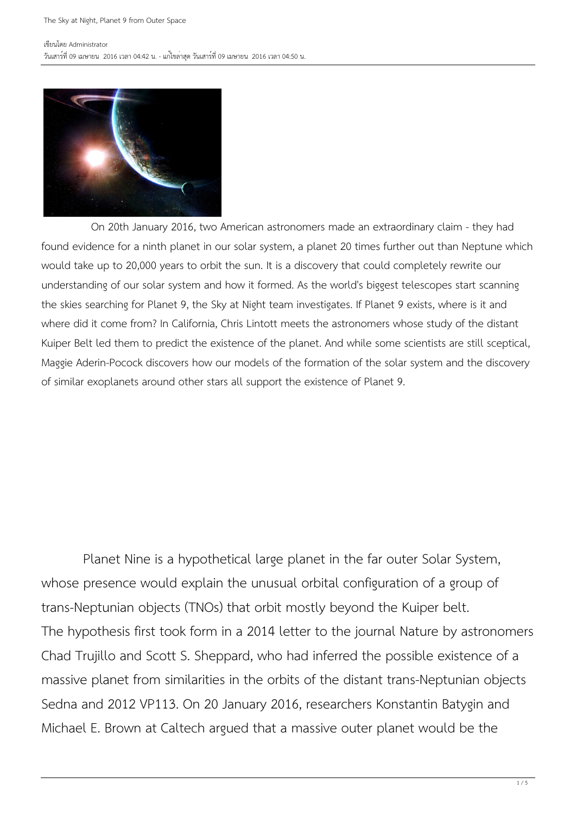

 On 20th January 2016, two American astronomers made an extraordinary claim - they had found evidence for a ninth planet in our solar system, a planet 20 times further out than Neptune which would take up to 20,000 years to orbit the sun. It is a discovery that could completely rewrite our understanding of our solar system and how it formed. As the world's biggest telescopes start scanning the skies searching for Planet 9, the Sky at Night team investigates. If Planet 9 exists, where is it and where did it come from? In California, Chris Lintott meets the astronomers whose study of the distant Kuiper Belt led them to predict the existence of the planet. And while some scientists are still sceptical, Maggie Aderin-Pocock discovers how our models of the formation of the solar system and the discovery of similar exoplanets around other stars all support the existence of Planet 9.

 Planet Nine is a hypothetical large planet in the far outer Solar System, whose presence would explain the unusual orbital configuration of a group of trans-Neptunian objects (TNOs) that orbit mostly beyond the Kuiper belt. The hypothesis first took form in a 2014 letter to the journal Nature by astronomers Chad Trujillo and Scott S. Sheppard, who had inferred the possible existence of a massive planet from similarities in the orbits of the distant trans-Neptunian objects Sedna and 2012 VP113. On 20 January 2016, researchers Konstantin Batygin and Michael E. Brown at Caltech argued that a massive outer planet would be the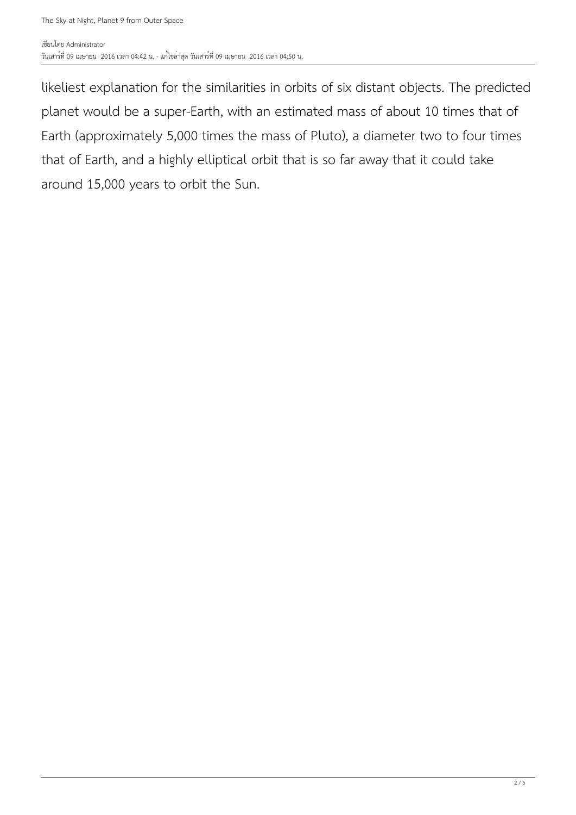likeliest explanation for the similarities in orbits of six distant objects. The predicted planet would be a super-Earth, with an estimated mass of about 10 times that of Earth (approximately 5,000 times the mass of Pluto), a diameter two to four times that of Earth, and a highly elliptical orbit that is so far away that it could take around 15,000 years to orbit the Sun.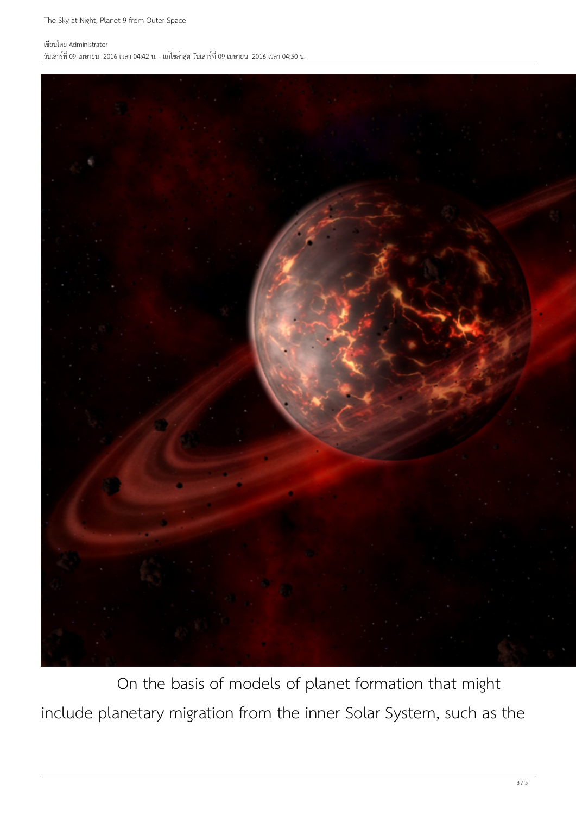## เขียนโดย Administrator

วันเสาร์ที่ 09 เมษายน 2016 เวลา 04:42 น. - แก้ไขล่าสุด วันเสาร์ที่ 09 เมษายน 2016 เวลา 04:50 น.



 On the basis of models of planet formation that might include planetary migration from the inner Solar System, such as the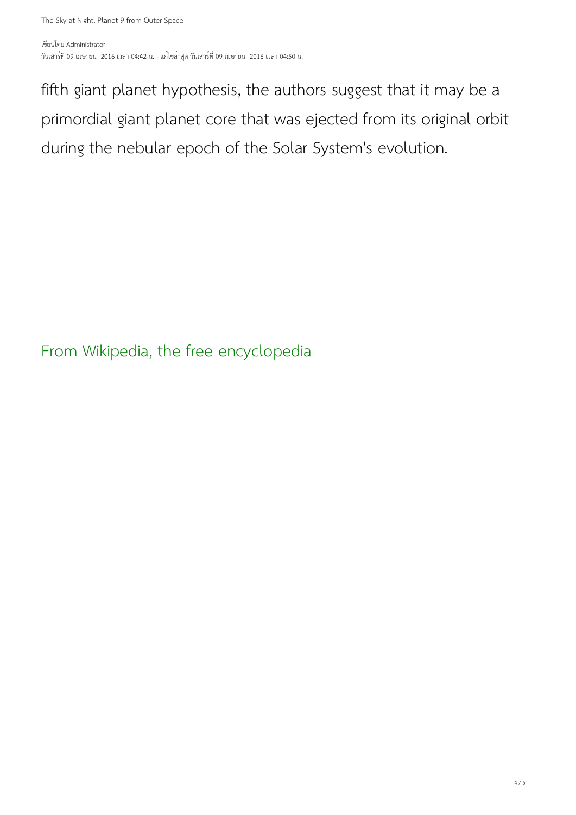fifth giant planet hypothesis, the authors suggest that it may be a primordial giant planet core that was ejected from its original orbit during the nebular epoch of the Solar System's evolution.

From Wikipedia, the free encyclopedia